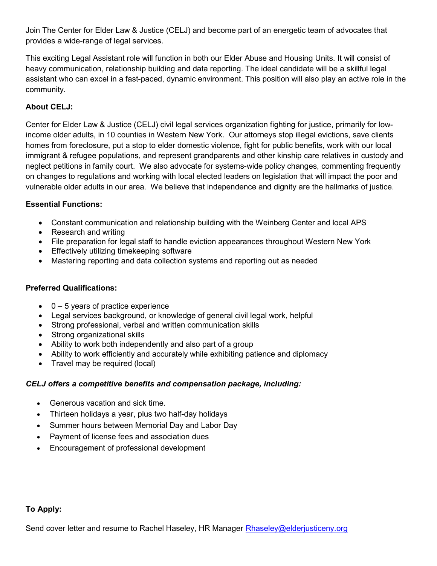Join The Center for Elder Law & Justice (CELJ) and become part of an energetic team of advocates that provides a wide-range of legal services.

This exciting Legal Assistant role will function in both our Elder Abuse and Housing Units. It will consist of heavy communication, relationship building and data reporting. The ideal candidate will be a skillful legal assistant who can excel in a fast-paced, dynamic environment. This position will also play an active role in the community.

# About CELJ:

Center for Elder Law & Justice (CELJ) civil legal services organization fighting for justice, primarily for lowincome older adults, in 10 counties in Western New York. Our attorneys stop illegal evictions, save clients homes from foreclosure, put a stop to elder domestic violence, fight for public benefits, work with our local immigrant & refugee populations, and represent grandparents and other kinship care relatives in custody and neglect petitions in family court. We also advocate for systems-wide policy changes, commenting frequently on changes to regulations and working with local elected leaders on legislation that will impact the poor and vulnerable older adults in our area. We believe that independence and dignity are the hallmarks of justice.

### Essential Functions:

- Constant communication and relationship building with the Weinberg Center and local APS
- Research and writing
- File preparation for legal staff to handle eviction appearances throughout Western New York
- **Effectively utilizing timekeeping software**
- Mastering reporting and data collection systems and reporting out as needed

### Preferred Qualifications:

- $\bullet$  0 5 years of practice experience
- Legal services background, or knowledge of general civil legal work, helpful
- Strong professional, verbal and written communication skills
- Strong organizational skills
- Ability to work both independently and also part of a group
- Ability to work efficiently and accurately while exhibiting patience and diplomacy
- Travel may be required (local)

# CELJ offers a competitive benefits and compensation package, including:

- Generous vacation and sick time.
- Thirteen holidays a year, plus two half-day holidays
- Summer hours between Memorial Day and Labor Day
- Payment of license fees and association dues
- Encouragement of professional development

#### To Apply:

Send cover letter and resume to Rachel Haseley, HR Manager Rhaseley@elderjusticeny.org